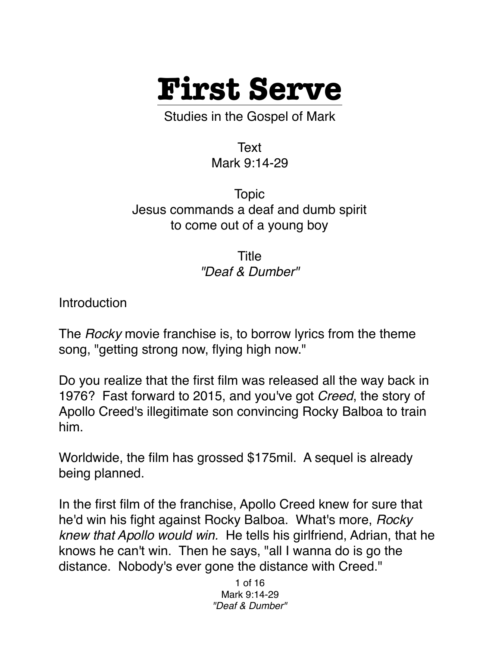

Studies in the Gospel of Mark

Text Mark 9:14-29

Topic Jesus commands a deaf and dumb spirit to come out of a young boy

> Title *"Deaf & Dumber"*

**Introduction** 

The *Rocky* movie franchise is, to borrow lyrics from the theme song, "getting strong now, flying high now."

Do you realize that the first film was released all the way back in 1976? Fast forward to 2015, and you've got *Creed*, the story of Apollo Creed's illegitimate son convincing Rocky Balboa to train him.

Worldwide, the film has grossed \$175mil. A sequel is already being planned.

In the first film of the franchise, Apollo Creed knew for sure that he'd win his fight against Rocky Balboa. What's more, *Rocky knew that Apollo would win.* He tells his girlfriend, Adrian, that he knows he can't win. Then he says, "all I wanna do is go the distance. Nobody's ever gone the distance with Creed."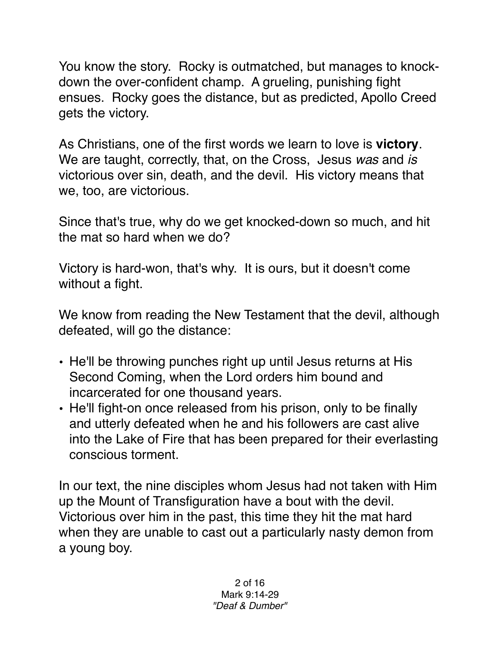You know the story. Rocky is outmatched, but manages to knockdown the over-confident champ. A grueling, punishing fight ensues. Rocky goes the distance, but as predicted, Apollo Creed gets the victory.

As Christians, one of the first words we learn to love is **victory**. We are taught, correctly, that, on the Cross, Jesus *was* and *is* victorious over sin, death, and the devil. His victory means that we, too, are victorious.

Since that's true, why do we get knocked-down so much, and hit the mat so hard when we do?

Victory is hard-won, that's why. It is ours, but it doesn't come without a fight.

We know from reading the New Testament that the devil, although defeated, will go the distance:

- He'll be throwing punches right up until Jesus returns at His Second Coming, when the Lord orders him bound and incarcerated for one thousand years.
- He'll fight-on once released from his prison, only to be finally and utterly defeated when he and his followers are cast alive into the Lake of Fire that has been prepared for their everlasting conscious torment.

In our text, the nine disciples whom Jesus had not taken with Him up the Mount of Transfiguration have a bout with the devil. Victorious over him in the past, this time they hit the mat hard when they are unable to cast out a particularly nasty demon from a young boy.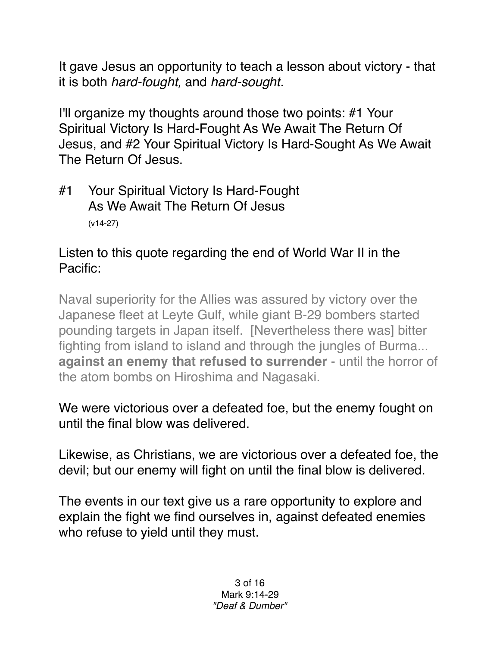It gave Jesus an opportunity to teach a lesson about victory - that it is both *hard-fought,* and *hard-sought.*

I'll organize my thoughts around those two points: #1 Your Spiritual Victory Is Hard-Fought As We Await The Return Of Jesus, and #2 Your Spiritual Victory Is Hard-Sought As We Await The Return Of Jesus.

#1 Your Spiritual Victory Is Hard-Fought As We Await The Return Of Jesus (v14-27)

## Listen to this quote regarding the end of World War II in the Pacific:

Naval superiority for the Allies was assured by victory over the Japanese fleet at Leyte Gulf, while giant B-29 bombers started pounding targets in Japan itself. [Nevertheless there was] bitter fighting from island to island and through the jungles of Burma... **against an enemy that refused to surrender** - until the horror of the atom bombs on Hiroshima and Nagasaki.

We were victorious over a defeated foe, but the enemy fought on until the final blow was delivered.

Likewise, as Christians, we are victorious over a defeated foe, the devil; but our enemy will fight on until the final blow is delivered.

The events in our text give us a rare opportunity to explore and explain the fight we find ourselves in, against defeated enemies who refuse to yield until they must.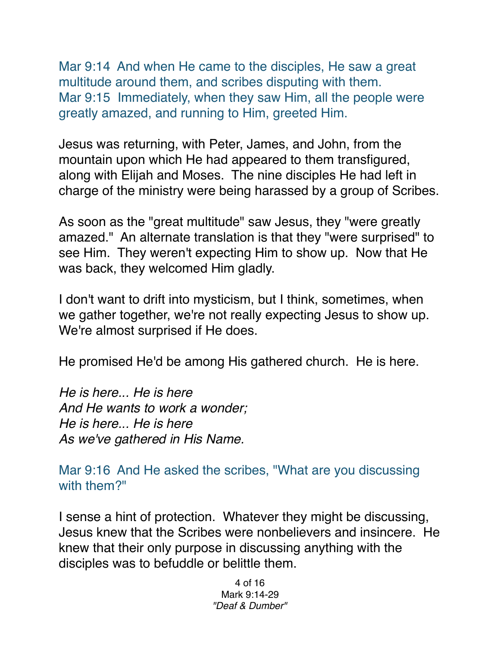Mar 9:14 And when He came to the disciples, He saw a great multitude around them, and scribes disputing with them. Mar 9:15 Immediately, when they saw Him, all the people were greatly amazed, and running to Him, greeted Him.

Jesus was returning, with Peter, James, and John, from the mountain upon which He had appeared to them transfigured, along with Elijah and Moses. The nine disciples He had left in charge of the ministry were being harassed by a group of Scribes.

As soon as the "great multitude" saw Jesus, they "were greatly amazed." An alternate translation is that they "were surprised" to see Him. They weren't expecting Him to show up. Now that He was back, they welcomed Him gladly.

I don't want to drift into mysticism, but I think, sometimes, when we gather together, we're not really expecting Jesus to show up. We're almost surprised if He does.

He promised He'd be among His gathered church. He is here.

*He is here... He is here And He wants to work a wonder; He is here... He is here As we've gathered in His Name.*

Mar 9:16 And He asked the scribes, "What are you discussing with them?"

I sense a hint of protection. Whatever they might be discussing, Jesus knew that the Scribes were nonbelievers and insincere. He knew that their only purpose in discussing anything with the disciples was to befuddle or belittle them.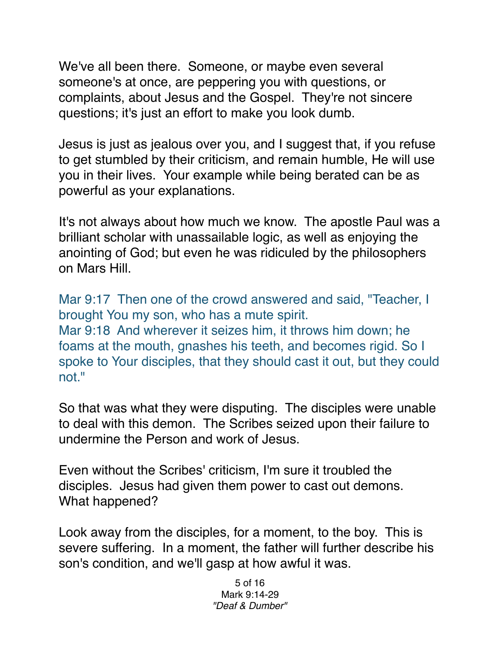We've all been there. Someone, or maybe even several someone's at once, are peppering you with questions, or complaints, about Jesus and the Gospel. They're not sincere questions; it's just an effort to make you look dumb.

Jesus is just as jealous over you, and I suggest that, if you refuse to get stumbled by their criticism, and remain humble, He will use you in their lives. Your example while being berated can be as powerful as your explanations.

It's not always about how much we know. The apostle Paul was a brilliant scholar with unassailable logic, as well as enjoying the anointing of God; but even he was ridiculed by the philosophers on Mars Hill.

Mar 9:17 Then one of the crowd answered and said, "Teacher, I brought You my son, who has a mute spirit. Mar 9:18 And wherever it seizes him, it throws him down; he foams at the mouth, gnashes his teeth, and becomes rigid. So I spoke to Your disciples, that they should cast it out, but they could not."

So that was what they were disputing. The disciples were unable to deal with this demon. The Scribes seized upon their failure to undermine the Person and work of Jesus.

Even without the Scribes' criticism, I'm sure it troubled the disciples. Jesus had given them power to cast out demons. What happened?

Look away from the disciples, for a moment, to the boy. This is severe suffering. In a moment, the father will further describe his son's condition, and we'll gasp at how awful it was.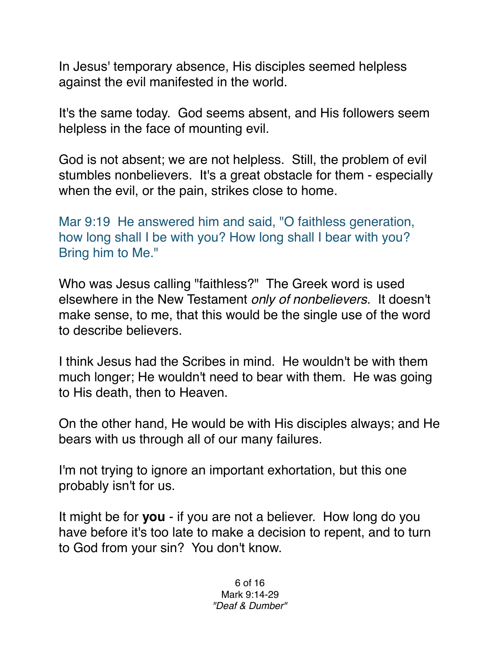In Jesus' temporary absence, His disciples seemed helpless against the evil manifested in the world.

It's the same today. God seems absent, and His followers seem helpless in the face of mounting evil.

God is not absent; we are not helpless. Still, the problem of evil stumbles nonbelievers. It's a great obstacle for them - especially when the evil, or the pain, strikes close to home.

Mar 9:19 He answered him and said, "O faithless generation, how long shall I be with you? How long shall I bear with you? Bring him to Me."

Who was Jesus calling "faithless?" The Greek word is used elsewhere in the New Testament *only of nonbelievers*. It doesn't make sense, to me, that this would be the single use of the word to describe believers.

I think Jesus had the Scribes in mind. He wouldn't be with them much longer; He wouldn't need to bear with them. He was going to His death, then to Heaven.

On the other hand, He would be with His disciples always; and He bears with us through all of our many failures.

I'm not trying to ignore an important exhortation, but this one probably isn't for us.

It might be for **you** - if you are not a believer. How long do you have before it's too late to make a decision to repent, and to turn to God from your sin? You don't know.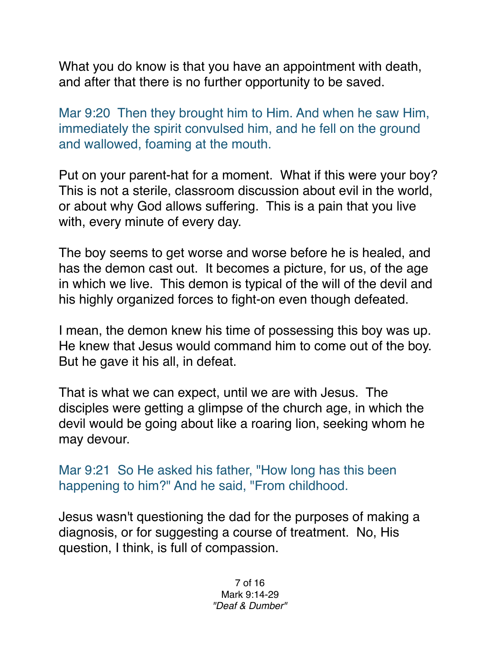What you do know is that you have an appointment with death, and after that there is no further opportunity to be saved.

Mar 9:20 Then they brought him to Him. And when he saw Him, immediately the spirit convulsed him, and he fell on the ground and wallowed, foaming at the mouth.

Put on your parent-hat for a moment. What if this were your boy? This is not a sterile, classroom discussion about evil in the world, or about why God allows suffering. This is a pain that you live with, every minute of every day.

The boy seems to get worse and worse before he is healed, and has the demon cast out. It becomes a picture, for us, of the age in which we live. This demon is typical of the will of the devil and his highly organized forces to fight-on even though defeated.

I mean, the demon knew his time of possessing this boy was up. He knew that Jesus would command him to come out of the boy. But he gave it his all, in defeat.

That is what we can expect, until we are with Jesus. The disciples were getting a glimpse of the church age, in which the devil would be going about like a roaring lion, seeking whom he may devour.

Mar 9:21 So He asked his father, "How long has this been happening to him?" And he said, "From childhood.

Jesus wasn't questioning the dad for the purposes of making a diagnosis, or for suggesting a course of treatment. No, His question, I think, is full of compassion.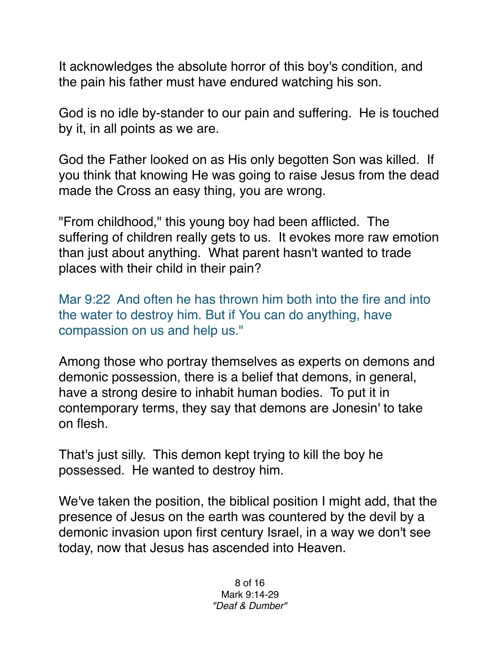It acknowledges the absolute horror of this boy's condition, and the pain his father must have endured watching his son.

God is no idle by-stander to our pain and suffering. He is touched by it, in all points as we are.

God the Father looked on as His only begotten Son was killed. If you think that knowing He was going to raise Jesus from the dead made the Cross an easy thing, you are wrong.

"From childhood," this young boy had been afflicted. The suffering of children really gets to us. It evokes more raw emotion than just about anything. What parent hasn't wanted to trade places with their child in their pain?

Mar 9:22 And often he has thrown him both into the fire and into the water to destroy him. But if You can do anything, have compassion on us and help us."

Among those who portray themselves as experts on demons and demonic possession, there is a belief that demons, in general, have a strong desire to inhabit human bodies. To put it in contemporary terms, they say that demons are Jonesin' to take on flesh.

That's just silly. This demon kept trying to kill the boy he possessed. He wanted to destroy him.

We've taken the position, the biblical position I might add, that the presence of Jesus on the earth was countered by the devil by a demonic invasion upon first century Israel, in a way we don't see today, now that Jesus has ascended into Heaven.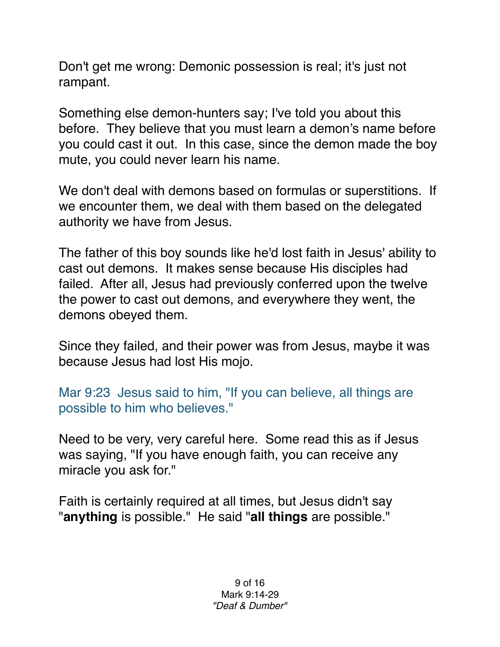Don't get me wrong: Demonic possession is real; it's just not rampant.

Something else demon-hunters say; I've told you about this before. They believe that you must learn a demon's name before you could cast it out. In this case, since the demon made the boy mute, you could never learn his name.

We don't deal with demons based on formulas or superstitions. If we encounter them, we deal with them based on the delegated authority we have from Jesus.

The father of this boy sounds like he'd lost faith in Jesus' ability to cast out demons. It makes sense because His disciples had failed. After all, Jesus had previously conferred upon the twelve the power to cast out demons, and everywhere they went, the demons obeyed them.

Since they failed, and their power was from Jesus, maybe it was because Jesus had lost His mojo.

Mar 9:23 Jesus said to him, "If you can believe, all things are possible to him who believes."

Need to be very, very careful here. Some read this as if Jesus was saying, "If you have enough faith, you can receive any miracle you ask for."

Faith is certainly required at all times, but Jesus didn't say "**anything** is possible." He said "**all things** are possible."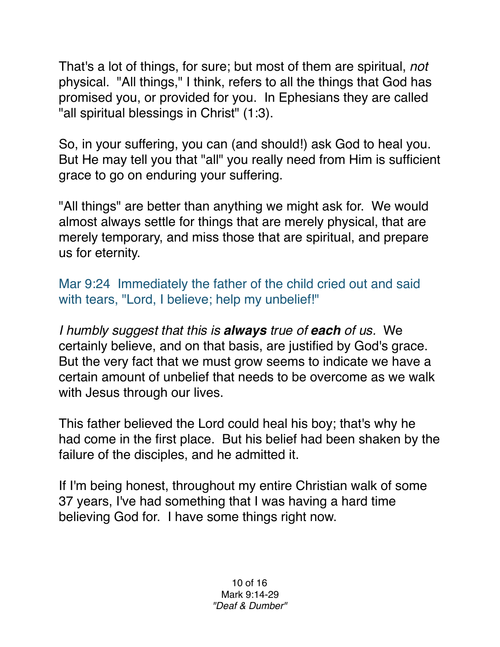That's a lot of things, for sure; but most of them are spiritual, *not* physical. "All things," I think, refers to all the things that God has promised you, or provided for you. In Ephesians they are called "all spiritual blessings in Christ" (1:3).

So, in your suffering, you can (and should!) ask God to heal you. But He may tell you that "all" you really need from Him is sufficient grace to go on enduring your suffering.

"All things" are better than anything we might ask for. We would almost always settle for things that are merely physical, that are merely temporary, and miss those that are spiritual, and prepare us for eternity.

Mar 9:24 Immediately the father of the child cried out and said with tears, "Lord, I believe; help my unbelief!"

*I humbly suggest that this is always true of each of us.* We certainly believe, and on that basis, are justified by God's grace. But the very fact that we must grow seems to indicate we have a certain amount of unbelief that needs to be overcome as we walk with Jesus through our lives.

This father believed the Lord could heal his boy; that's why he had come in the first place. But his belief had been shaken by the failure of the disciples, and he admitted it.

If I'm being honest, throughout my entire Christian walk of some 37 years, I've had something that I was having a hard time believing God for. I have some things right now.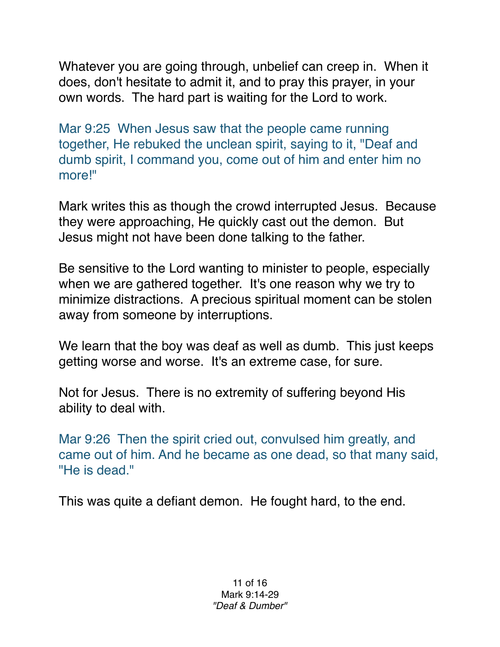Whatever you are going through, unbelief can creep in. When it does, don't hesitate to admit it, and to pray this prayer, in your own words. The hard part is waiting for the Lord to work.

Mar 9:25 When Jesus saw that the people came running together, He rebuked the unclean spirit, saying to it, "Deaf and dumb spirit, I command you, come out of him and enter him no more!"

Mark writes this as though the crowd interrupted Jesus. Because they were approaching, He quickly cast out the demon. But Jesus might not have been done talking to the father.

Be sensitive to the Lord wanting to minister to people, especially when we are gathered together. It's one reason why we try to minimize distractions. A precious spiritual moment can be stolen away from someone by interruptions.

We learn that the boy was deaf as well as dumb. This just keeps getting worse and worse. It's an extreme case, for sure.

Not for Jesus. There is no extremity of suffering beyond His ability to deal with.

Mar 9:26 Then the spirit cried out, convulsed him greatly, and came out of him. And he became as one dead, so that many said, "He is dead."

This was quite a defiant demon. He fought hard, to the end.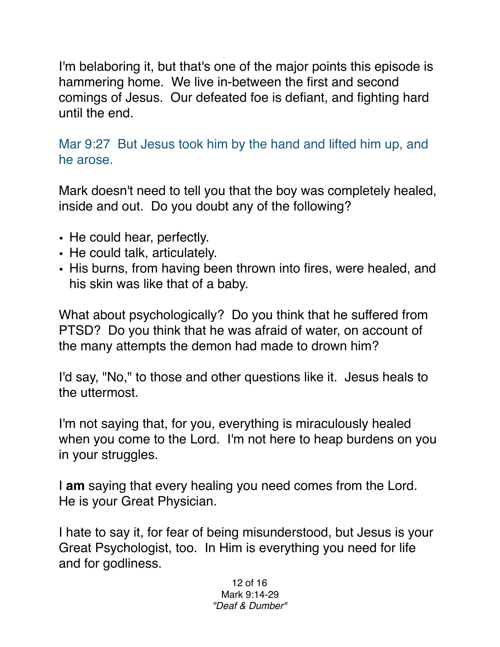I'm belaboring it, but that's one of the major points this episode is hammering home. We live in-between the first and second comings of Jesus. Our defeated foe is defiant, and fighting hard until the end.

Mar 9:27 But Jesus took him by the hand and lifted him up, and he arose.

Mark doesn't need to tell you that the boy was completely healed, inside and out. Do you doubt any of the following?

- He could hear, perfectly.
- He could talk, articulately.
- His burns, from having been thrown into fires, were healed, and his skin was like that of a baby.

What about psychologically? Do you think that he suffered from PTSD? Do you think that he was afraid of water, on account of the many attempts the demon had made to drown him?

I'd say, "No," to those and other questions like it. Jesus heals to the uttermost.

I'm not saying that, for you, everything is miraculously healed when you come to the Lord. I'm not here to heap burdens on you in your struggles.

I **am** saying that every healing you need comes from the Lord. He is your Great Physician.

I hate to say it, for fear of being misunderstood, but Jesus is your Great Psychologist, too. In Him is everything you need for life and for godliness.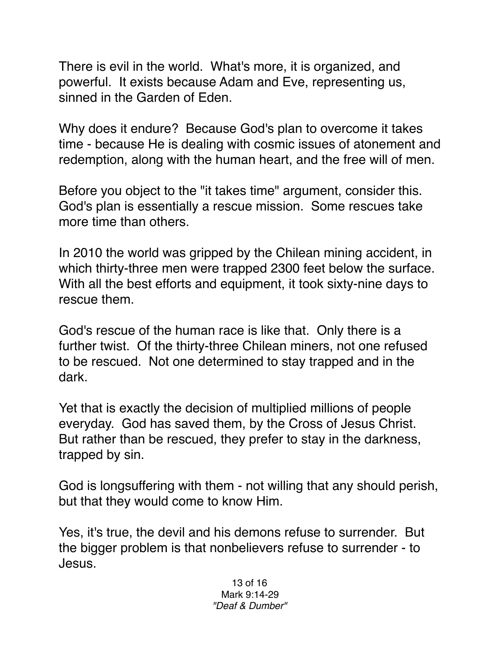There is evil in the world. What's more, it is organized, and powerful. It exists because Adam and Eve, representing us, sinned in the Garden of Eden.

Why does it endure? Because God's plan to overcome it takes time - because He is dealing with cosmic issues of atonement and redemption, along with the human heart, and the free will of men.

Before you object to the "it takes time" argument, consider this. God's plan is essentially a rescue mission. Some rescues take more time than others.

In 2010 the world was gripped by the Chilean mining accident, in which thirty-three men were trapped 2300 feet below the surface. With all the best efforts and equipment, it took sixty-nine days to rescue them.

God's rescue of the human race is like that. Only there is a further twist. Of the thirty-three Chilean miners, not one refused to be rescued. Not one determined to stay trapped and in the dark.

Yet that is exactly the decision of multiplied millions of people everyday. God has saved them, by the Cross of Jesus Christ. But rather than be rescued, they prefer to stay in the darkness, trapped by sin.

God is longsuffering with them - not willing that any should perish, but that they would come to know Him.

Yes, it's true, the devil and his demons refuse to surrender. But the bigger problem is that nonbelievers refuse to surrender - to Jesus.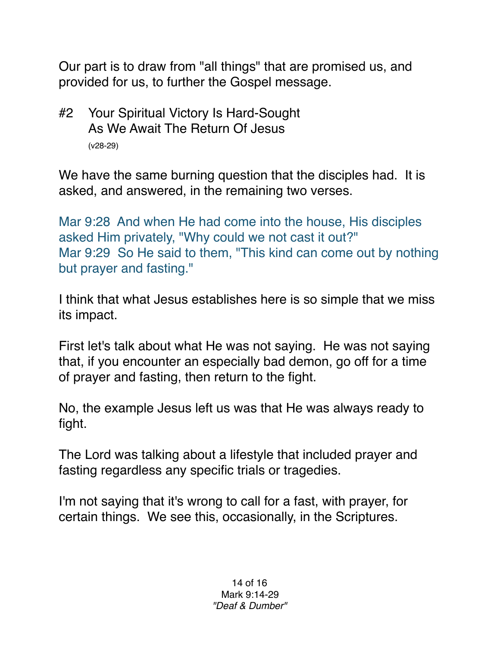Our part is to draw from "all things" that are promised us, and provided for us, to further the Gospel message.

#2 Your Spiritual Victory Is Hard-Sought As We Await The Return Of Jesus (v28-29)

We have the same burning question that the disciples had. It is asked, and answered, in the remaining two verses.

Mar 9:28 And when He had come into the house, His disciples asked Him privately, "Why could we not cast it out?" Mar 9:29 So He said to them, "This kind can come out by nothing but prayer and fasting."

I think that what Jesus establishes here is so simple that we miss its impact.

First let's talk about what He was not saying. He was not saying that, if you encounter an especially bad demon, go off for a time of prayer and fasting, then return to the fight.

No, the example Jesus left us was that He was always ready to fight.

The Lord was talking about a lifestyle that included prayer and fasting regardless any specific trials or tragedies.

I'm not saying that it's wrong to call for a fast, with prayer, for certain things. We see this, occasionally, in the Scriptures.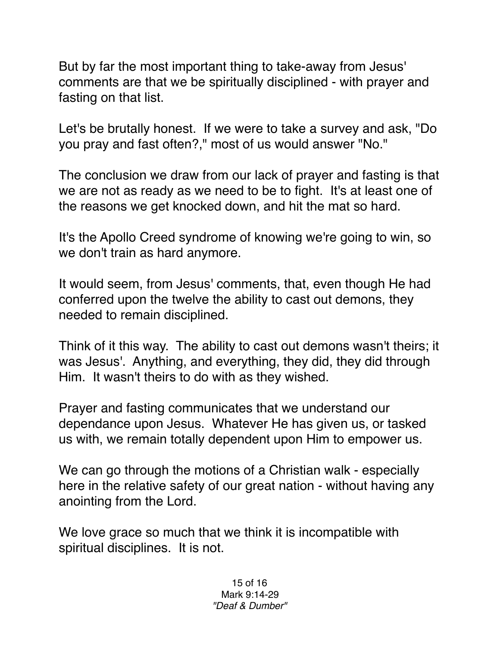But by far the most important thing to take-away from Jesus' comments are that we be spiritually disciplined - with prayer and fasting on that list.

Let's be brutally honest. If we were to take a survey and ask, "Do you pray and fast often?," most of us would answer "No."

The conclusion we draw from our lack of prayer and fasting is that we are not as ready as we need to be to fight. It's at least one of the reasons we get knocked down, and hit the mat so hard.

It's the Apollo Creed syndrome of knowing we're going to win, so we don't train as hard anymore.

It would seem, from Jesus' comments, that, even though He had conferred upon the twelve the ability to cast out demons, they needed to remain disciplined.

Think of it this way. The ability to cast out demons wasn't theirs; it was Jesus'. Anything, and everything, they did, they did through Him. It wasn't theirs to do with as they wished.

Prayer and fasting communicates that we understand our dependance upon Jesus. Whatever He has given us, or tasked us with, we remain totally dependent upon Him to empower us.

We can go through the motions of a Christian walk - especially here in the relative safety of our great nation - without having any anointing from the Lord.

We love grace so much that we think it is incompatible with spiritual disciplines. It is not.